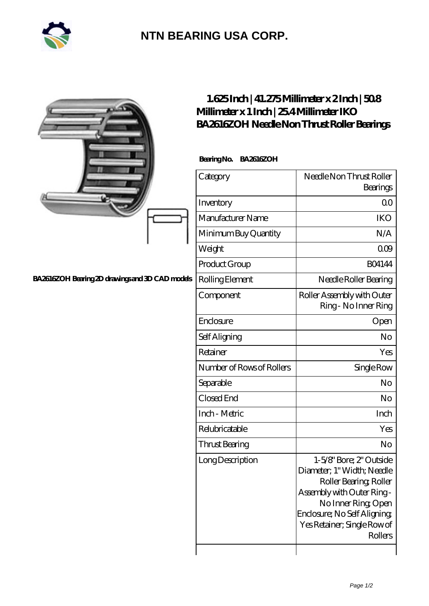

## **[NTN BEARING USA CORP.](https://m.2rw-antriebselemente.de)**

|                                                 | $1.625$ Inch   $41.275$ Millimeter x $2$ Inch   $508$<br>Millimeter x 1 Inch   254 Millimeter IKO<br>BA2616ZOH Needle Non Thrust Roller Bearings |                                                                                                                                                                                                              |
|-------------------------------------------------|--------------------------------------------------------------------------------------------------------------------------------------------------|--------------------------------------------------------------------------------------------------------------------------------------------------------------------------------------------------------------|
|                                                 | BearingNo.<br>BA2616ZOH                                                                                                                          |                                                                                                                                                                                                              |
|                                                 | Category                                                                                                                                         | Needle Non Thrust Roller<br>Bearings                                                                                                                                                                         |
|                                                 | Inventory                                                                                                                                        | 0 <sub>0</sub>                                                                                                                                                                                               |
|                                                 | Manufacturer Name                                                                                                                                | <b>IKO</b>                                                                                                                                                                                                   |
|                                                 | Minimum Buy Quantity                                                                                                                             | N/A                                                                                                                                                                                                          |
|                                                 | Weight                                                                                                                                           | 000                                                                                                                                                                                                          |
|                                                 | Product Group                                                                                                                                    | <b>BO4144</b>                                                                                                                                                                                                |
| BA2616ZOH Bearing 2D drawings and 3D CAD models | Rolling Element                                                                                                                                  | Needle Roller Bearing                                                                                                                                                                                        |
|                                                 | Component                                                                                                                                        | Roller Assembly with Outer<br>Ring - No Inner Ring                                                                                                                                                           |
|                                                 | Enclosure                                                                                                                                        | Open                                                                                                                                                                                                         |
|                                                 | Self Aligning                                                                                                                                    | No                                                                                                                                                                                                           |
|                                                 | Retainer                                                                                                                                         | Yes                                                                                                                                                                                                          |
|                                                 | Number of Rows of Rollers                                                                                                                        | Single Row                                                                                                                                                                                                   |
|                                                 | Separable                                                                                                                                        | No                                                                                                                                                                                                           |
|                                                 | Closed End                                                                                                                                       | No                                                                                                                                                                                                           |
|                                                 | Inch - Metric                                                                                                                                    | Inch                                                                                                                                                                                                         |
|                                                 | Relubricatable                                                                                                                                   | Yes                                                                                                                                                                                                          |
|                                                 | <b>Thrust Bearing</b>                                                                                                                            | N <sub>o</sub>                                                                                                                                                                                               |
|                                                 | Long Description                                                                                                                                 | 1-5/8" Bore; 2" Outside<br>Diameter; 1" Width; Needle<br>Roller Bearing, Roller<br>Assembly with Outer Ring-<br>No Inner Ring, Open<br>Enclosure; No Self Aligning<br>Yes Retainer; Single Row of<br>Rollers |